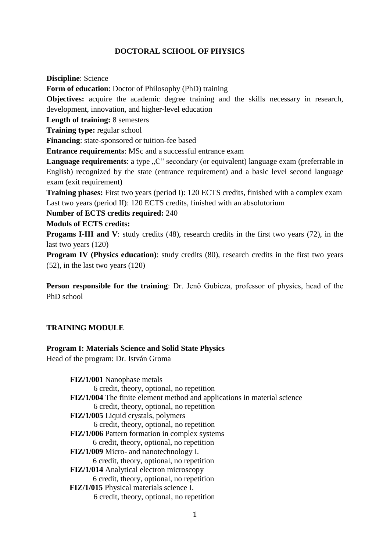# **DOCTORAL SCHOOL OF PHYSICS**

**Discipline**: Science

**Form of education**: Doctor of Philosophy (PhD) training

**Objectives:** acquire the academic degree training and the skills necessary in research, development, innovation, and higher-level education

**Length of training:** 8 semesters

**Training type:** regular school

**Financing**: state-sponsored or tuition-fee based

**Entrance requirements**: MSc and a successful entrance exam

Language requirements: a type "C" secondary (or equivalent) language exam (preferrable in English) recognized by the state (entrance requirement) and a basic level second language exam (exit requirement)

**Training phases:** First two years (period I): 120 ECTS credits, finished with a complex exam Last two years (period II): 120 ECTS credits, finished with an absolutorium

**Number of ECTS credits required:** 240

#### **Moduls of ECTS credits:**

**Progams I-III and V**: study credits (48), research credits in the first two years (72), in the last two years (120)

**Program IV (Physics education)**: study credits (80), research credits in the first two years (52), in the last two years (120)

**Person responsible for the training**: Dr. Jenő Gubicza, professor of physics, head of the PhD school

## **TRAINING MODULE**

#### **Program I: Materials Science and Solid State Physics**

Head of the program: Dr. István Groma

**FIZ/1/001** Nanophase metals 6 credit, theory, optional, no repetition **FIZ/1/004** The finite element method and applications in material science 6 credit, theory, optional, no repetition **FIZ/1/005** Liquid crystals, polymers 6 credit, theory, optional, no repetition **FIZ/1/006** Pattern formation in complex systems 6 credit, theory, optional, no repetition **FIZ/1/009** Micro- and nanotechnology I. 6 credit, theory, optional, no repetition **FIZ/1/014** Analytical electron microscopy 6 credit, theory, optional, no repetition **FIZ/1/015** Physical materials science I. 6 credit, theory, optional, no repetition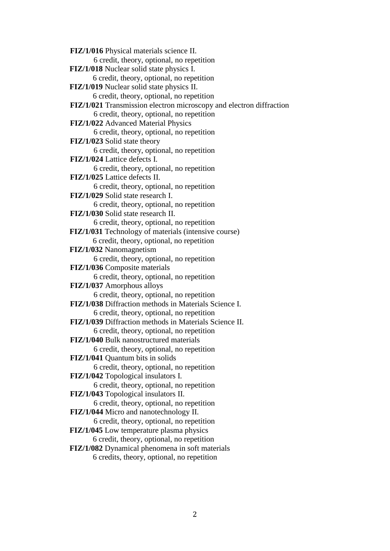**FIZ/1/016** Physical materials science II. 6 credit, theory, optional, no repetition **FIZ/1/018** Nuclear solid state physics I. 6 credit, theory, optional, no repetition **FIZ/1/019** Nuclear solid state physics II. 6 credit, theory, optional, no repetition **FIZ/1/021** Transmission electron microscopy and electron diffraction 6 credit, theory, optional, no repetition **FIZ/1/022** Advanced Material Physics 6 credit, theory, optional, no repetition **FIZ/1/023** Solid state theory 6 credit, theory, optional, no repetition **FIZ/1/024** Lattice defects I. 6 credit, theory, optional, no repetition **FIZ/1/025** Lattice defects II. 6 credit, theory, optional, no repetition **FIZ/1/029** Solid state research I. 6 credit, theory, optional, no repetition **FIZ/1/030** Solid state research II. 6 credit, theory, optional, no repetition **FIZ/1/031** Technology of materials (intensive course) 6 credit, theory, optional, no repetition **FIZ/1/032** Nanomagnetism 6 credit, theory, optional, no repetition **FIZ/1/036** Composite materials 6 credit, theory, optional, no repetition **FIZ/1/037** Amorphous alloys 6 credit, theory, optional, no repetition **FIZ/1/038** Diffraction methods in Materials Science I. 6 credit, theory, optional, no repetition **FIZ/1/039** Diffraction methods in Materials Science II. 6 credit, theory, optional, no repetition **FIZ/1/040** Bulk nanostructured materials 6 credit, theory, optional, no repetition **FIZ/1/041** Quantum bits in solids 6 credit, theory, optional, no repetition **FIZ/1/042** Topological insulators I. 6 credit, theory, optional, no repetition **FIZ/1/043** Topological insulators II. 6 credit, theory, optional, no repetition **FIZ/1/044** Micro and nanotechnology II. 6 credit, theory, optional, no repetition **FIZ/1/045** Low temperature plasma physics 6 credit, theory, optional, no repetition **FIZ/1/082** Dynamical phenomena in soft materials 6 credits, theory, optional, no repetition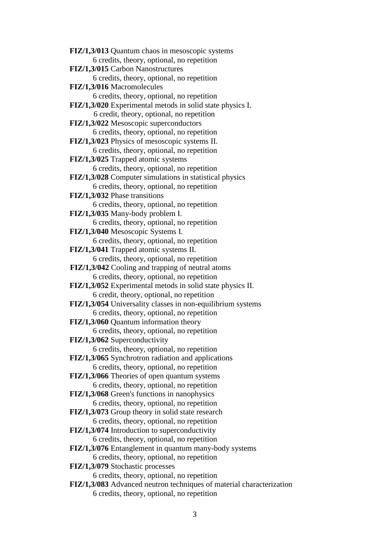**FIZ/1,3/013** Quantum chaos in mesoscopic systems 6 credits, theory, optional, no repetition **FIZ/1,3/015** Carbon Nanostructures 6 credits, theory, optional, no repetition **FIZ/1,3/016** Macromolecules 6 credits, theory, optional, no repetition **FIZ/1,3/020** Experimental metods in solid state physics I. 6 credit, theory, optional, no repetition **FIZ/1,3/022** Mesoscopic superconductors 6 credits, theory, optional, no repetition **FIZ/1,3/023** Physics of mesoscopic systems II. 6 credits, theory, optional, no repetition **FIZ/1,3/025** Trapped atomic systems 6 credits, theory, optional, no repetition **FIZ/1,3/028** Computer simulations in statistical physics 6 credits, theory, optional, no repetition **FIZ/1,3/032** Phase transitions 6 credits, theory, optional, no repetition **FIZ/1,3/035** Many-body problem I. 6 credits, theory, optional, no repetition **FIZ/1,3/040** Mesoscopic Systems I. 6 credits, theory, optional, no repetition **FIZ/1,3/041** Trapped atomic systems II. 6 credits, theory, optional, no repetition **FIZ/1,3/042** Cooling and trapping of neutral atoms 6 credits, theory, optional, no repetition **FIZ/1,3/052** Experimental metods in solid state physics II. 6 credit, theory, optional, no repetition **FIZ/1,3/054** Universality classes in non-equilibrium systems 6 credits, theory, optional, no repetition **FIZ/1,3/060** Quantum information theory 6 credits, theory, optional, no repetition **FIZ/1,3/062** Superconductivity 6 credits, theory, optional, no repetition **FIZ/1,3/065** Synchrotron radiation and applications 6 credits, theory, optional, no repetition **FIZ/1,3/066** Theories of open quantum systems 6 credits, theory, optional, no repetition **FIZ/1,3/068** Green's functions in nanophysics 6 credits, theory, optional, no repetition **FIZ/1,3/073** Group theory in solid state research 6 credits, theory, optional, no repetition **FIZ/1,3/074** Introduction to superconductivity 6 credits, theory, optional, no repetition **FIZ/1,3/076** Entanglement in quantum many-body systems 6 credits, theory, optional, no repetition **FIZ/1,3/079** Stochastic processes 6 credits, theory, optional, no repetition **FIZ/1,3/083** Advanced neutron techniques of material characterization 6 credits, theory, optional, no repetition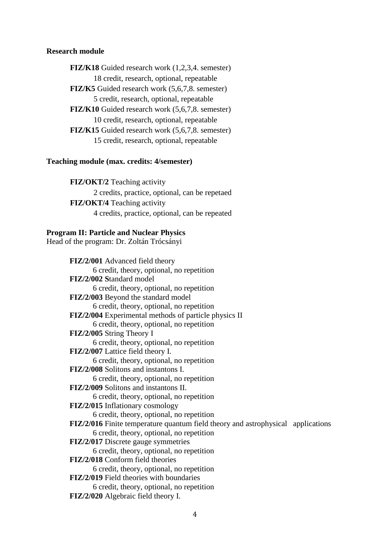### **Research module**

**FIZ/K18** Guided research work (1,2,3,4. semester) 18 credit, research, optional, repeatable **FIZ/K5** Guided research work (5,6,7,8. semester) 5 credit, research, optional, repeatable **FIZ/K10** Guided research work (5,6,7,8. semester) 10 credit, research, optional, repeatable **FIZ/K15** Guided research work (5,6,7,8. semester) 15 credit, research, optional, repeatable

#### **Teaching module (max. credits: 4/semester)**

**FIZ/OKT/2** Teaching activity 2 credits, practice, optional, can be repetaed **FIZ/OKT/4** Teaching activity 4 credits, practice, optional, can be repeated

#### **Program II: Particle and Nuclear Physics**

Head of the program: Dr. Zoltán Trócsányi

**FIZ/2/001** Advanced field theory 6 credit, theory, optional, no repetition **FIZ/2/002 S**tandard model 6 credit, theory, optional, no repetition **FIZ/2/003** Beyond the standard model 6 credit, theory, optional, no repetition **FIZ/2/004** Experimental methods of particle physics II 6 credit, theory, optional, no repetition **FIZ/2/005** String Theory I 6 credit, theory, optional, no repetition **FIZ/2/007** Lattice field theory I. 6 credit, theory, optional, no repetition **FIZ/2/008** Solitons and instantons I. 6 credit, theory, optional, no repetition **FIZ/2/009** Solitons and instantons II. 6 credit, theory, optional, no repetition **FIZ/2/015** Inflationary cosmology 6 credit, theory, optional, no repetition **FIZ/2/016** Finite temperature quantum field theory and astrophysical applications 6 credit, theory, optional, no repetition **FIZ/2/017** Discrete gauge symmetries 6 credit, theory, optional, no repetition **FIZ/2/018** Conform field theories 6 credit, theory, optional, no repetition **FIZ/2/019** Field theories with boundaries 6 credit, theory, optional, no repetition **FIZ/2/020** Algebraic field theory I.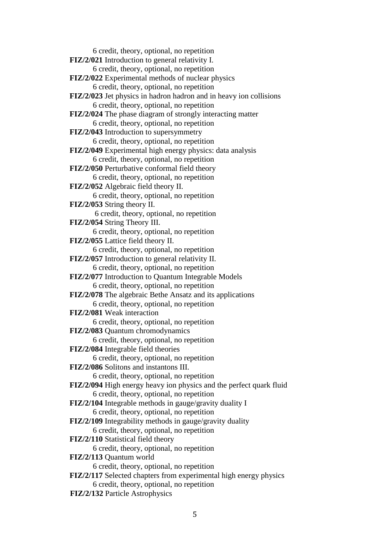6 credit, theory, optional, no repetition **FIZ/2/021** Introduction to general relativity I. 6 credit, theory, optional, no repetition **FIZ/2/022** Experimental methods of nuclear physics 6 credit, theory, optional, no repetition **FIZ/2/023** Jet physics in hadron hadron and in heavy ion collisions 6 credit, theory, optional, no repetition **FIZ/2/024** The phase diagram of strongly interacting matter 6 credit, theory, optional, no repetition **FIZ/2/043** Introduction to supersymmetry 6 credit, theory, optional, no repetition **FIZ/2/049** Experimental high energy physics: data analysis 6 credit, theory, optional, no repetition **FIZ/2/050** Perturbative conformal field theory 6 credit, theory, optional, no repetition **FIZ/2/052** Algebraic field theory II. 6 credit, theory, optional, no repetition **FIZ/2/053** String theory II. 6 credit, theory, optional, no repetition **FIZ/2/054** String Theory III. 6 credit, theory, optional, no repetition **FIZ/2/055** Lattice field theory II. 6 credit, theory, optional, no repetition **FIZ/2/057** Introduction to general relativity II. 6 credit, theory, optional, no repetition **FIZ/2/077** Introduction to Quantum Integrable Models 6 credit, theory, optional, no repetition **FIZ/2/078** The algebraic Bethe Ansatz and its applications 6 credit, theory, optional, no repetition **FIZ/2/081** Weak interaction 6 credit, theory, optional, no repetition **FIZ/2/083** Quantum chromodynamics 6 credit, theory, optional, no repetition **FIZ/2/084** Integrable field theories 6 credit, theory, optional, no repetition **FIZ/2/086** Solitons and instantons III. 6 credit, theory, optional, no repetition **FIZ/2/094** High energy heavy ion physics and the perfect quark fluid 6 credit, theory, optional, no repetition **FIZ/2/104** Integrable methods in gauge/gravity duality I 6 credit, theory, optional, no repetition **FIZ/2/109** Integrability methods in gauge/gravity duality 6 credit, theory, optional, no repetition **FIZ/2/110** Statistical field theory 6 credit, theory, optional, no repetition **FIZ/2/113** Quantum world 6 credit, theory, optional, no repetition **FIZ/2/117** Selected chapters from experimental high energy physics 6 credit, theory, optional, no repetition **FIZ/2/132** Particle Astrophysics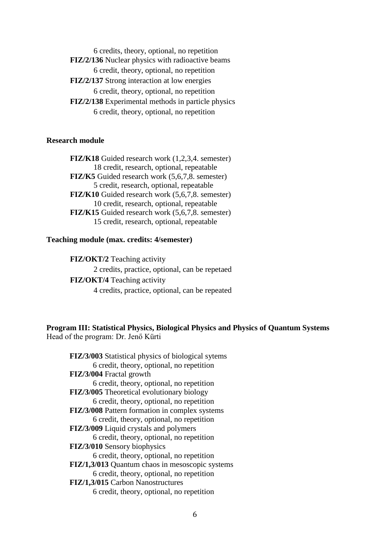6 credits, theory, optional, no repetition **FIZ/2/136** Nuclear physics with radioactive beams 6 credit, theory, optional, no repetition **FIZ/2/137** Strong interaction at low energies 6 credit, theory, optional, no repetition

**FIZ/2/138** Experimental methods in particle physics 6 credit, theory, optional, no repetition

# **Research module**

**FIZ/K18** Guided research work (1,2,3,4. semester) 18 credit, research, optional, repeatable **FIZ/K5** Guided research work (5,6,7,8. semester) 5 credit, research, optional, repeatable **FIZ/K10** Guided research work (5,6,7,8. semester) 10 credit, research, optional, repeatable **FIZ/K15** Guided research work (5,6,7,8. semester) 15 credit, research, optional, repeatable

### **Teaching module (max. credits: 4/semester)**

**FIZ/OKT/2** Teaching activity 2 credits, practice, optional, can be repetaed **FIZ/OKT/4** Teaching activity 4 credits, practice, optional, can be repeated

**Program III: Statistical Physics, Biological Physics and Physics of Quantum Systems** Head of the program: Dr. Jenő Kürti

| <b>FIZ/3/003</b> Statistical physics of biological sytems |
|-----------------------------------------------------------|
| 6 credit, theory, optional, no repetition                 |
| FIZ/3/004 Fractal growth                                  |
| 6 credit, theory, optional, no repetition                 |
| <b>FIZ/3/005</b> Theoretical evolutionary biology         |
| 6 credit, theory, optional, no repetition                 |
| FIZ/3/008 Pattern formation in complex systems            |
| 6 credit, theory, optional, no repetition                 |
| FIZ/3/009 Liquid crystals and polymers                    |
| 6 credit, theory, optional, no repetition                 |
| FIZ/3/010 Sensory biophysics                              |
| 6 credit, theory, optional, no repetition                 |
| FIZ/1,3/013 Quantum chaos in mesoscopic systems           |
| 6 credit, theory, optional, no repetition                 |
| FIZ/1,3/015 Carbon Nanostructures                         |
| 6 credit, theory, optional, no repetition                 |
|                                                           |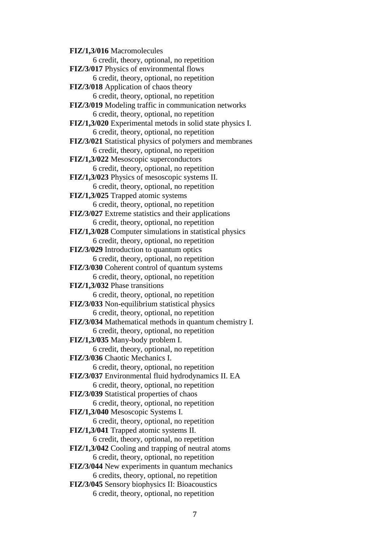**FIZ/1,3/016** Macromolecules 6 credit, theory, optional, no repetition **FIZ/3/017** Physics of environmental flows 6 credit, theory, optional, no repetition **FIZ/3/018** Application of chaos theory 6 credit, theory, optional, no repetition **FIZ/3/019** Modeling traffic in communication networks 6 credit, theory, optional, no repetition **FIZ/1,3/020** Experimental metods in solid state physics I. 6 credit, theory, optional, no repetition **FIZ/3/021** Statistical physics of polymers and membranes 6 credit, theory, optional, no repetition **FIZ/1,3/022** Mesoscopic superconductors 6 credit, theory, optional, no repetition **FIZ/1,3/023** Physics of mesoscopic systems II. 6 credit, theory, optional, no repetition **FIZ/1,3/025** Trapped atomic systems 6 credit, theory, optional, no repetition **FIZ/3/027** Extreme statistics and their applications 6 credit, theory, optional, no repetition **FIZ/1,3/028** Computer simulations in statistical physics 6 credit, theory, optional, no repetition **FIZ/3/029** Introduction to quantum optics 6 credit, theory, optional, no repetition **FIZ/3/030** Coherent control of quantum systems 6 credit, theory, optional, no repetition **FIZ/1,3/032** Phase transitions 6 credit, theory, optional, no repetition **FIZ/3/033** Non-equilibrium statistical physics 6 credit, theory, optional, no repetition **FIZ/3/034** Mathematical methods in quantum chemistry I. 6 credit, theory, optional, no repetition **FIZ/1,3/035** Many-body problem I. 6 credit, theory, optional, no repetition **FIZ/3/036** Chaotic Mechanics I. 6 credit, theory, optional, no repetition **FIZ/3/037** Environmental fluid hydrodynamics II. EA 6 credit, theory, optional, no repetition **FIZ/3/039** Statistical properties of chaos 6 credit, theory, optional, no repetition **FIZ/1,3/040** Mesoscopic Systems I. 6 credit, theory, optional, no repetition **FIZ/1,3/041** Trapped atomic systems II. 6 credit, theory, optional, no repetition **FIZ/1,3/042** Cooling and trapping of neutral atoms 6 credit, theory, optional, no repetition **FIZ/3/044** New experiments in quantum mechanics 6 credits, theory, optional, no repetition **FIZ/3/045** Sensory biophysics II: Bioacoustics 6 credit, theory, optional, no repetition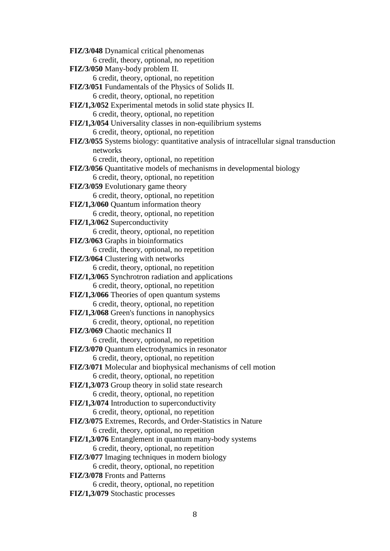**FIZ/3/048** Dynamical critical phenomenas 6 credit, theory, optional, no repetition **FIZ/3/050** Many-body problem II. 6 credit, theory, optional, no repetition **FIZ/3/051** Fundamentals of the Physics of Solids II. 6 credit, theory, optional, no repetition **FIZ/1,3/052** Experimental metods in solid state physics II. 6 credit, theory, optional, no repetition **FIZ/1,3/054** Universality classes in non-equilibrium systems 6 credit, theory, optional, no repetition **FIZ/3/055** Systems biology: quantitative analysis of intracellular signal transduction networks 6 credit, theory, optional, no repetition **FIZ/3/056** Quantitative models of mechanisms in developmental biology 6 credit, theory, optional, no repetition **FIZ/3/059** Evolutionary game theory 6 credit, theory, optional, no repetition **FIZ/1,3/060** Ouantum information theory 6 credit, theory, optional, no repetition **FIZ/1,3/062** Superconductivity 6 credit, theory, optional, no repetition **FIZ/3/063** Graphs in bioinformatics 6 credit, theory, optional, no repetition **FIZ/3/064** Clustering with networks 6 credit, theory, optional, no repetition **FIZ/1,3/065** Synchrotron radiation and applications 6 credit, theory, optional, no repetition **FIZ/1,3/066** Theories of open quantum systems 6 credit, theory, optional, no repetition **FIZ/1,3/068** Green's functions in nanophysics 6 credit, theory, optional, no repetition **FIZ/3/069** Chaotic mechanics II 6 credit, theory, optional, no repetition **FIZ/3/070** Quantum electrodynamics in resonator 6 credit, theory, optional, no repetition **FIZ/3/071** Molecular and biophysical mechanisms of cell motion 6 credit, theory, optional, no repetition **FIZ/1,3/073** Group theory in solid state research 6 credit, theory, optional, no repetition **FIZ/1,3/074** Introduction to superconductivity 6 credit, theory, optional, no repetition **FIZ/3/075** Extremes, Records, and Order-Statistics in Nature 6 credit, theory, optional, no repetition **FIZ/1,3/076** Entanglement in quantum many-body systems 6 credit, theory, optional, no repetition **FIZ/3/077** Imaging techniques in modern biology 6 credit, theory, optional, no repetition **FIZ/3/078** Fronts and Patterns 6 credit, theory, optional, no repetition **FIZ/1,3/079** Stochastic processes

8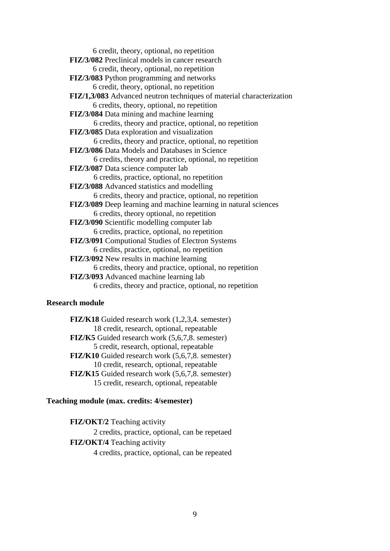6 credit, theory, optional, no repetition **FIZ/3/082** Preclinical models in cancer research 6 credit, theory, optional, no repetition **FIZ/3/083** Python programming and networks 6 credit, theory, optional, no repetition **FIZ/1,3/083** Advanced neutron techniques of material characterization 6 credits, theory, optional, no repetition **FIZ/3/084** Data mining and machine learning 6 credits, theory and practice, optional, no repetition **FIZ/3/085** Data exploration and visualization 6 credits, theory and practice, optional, no repetition **FIZ/3/086** Data Models and Databases in Science 6 credits, theory and practice, optional, no repetition **FIZ/3/087** Data science computer lab 6 credits, practice, optional, no repetition **FIZ/3/088** Advanced statistics and modelling 6 credits, theory and practice, optional, no repetition **FIZ/3/089** Deep learning and machine learning in natural sciences 6 credits, theory optional, no repetition **FIZ/3/090** Scientific modelling computer lab 6 credits, practice, optional, no repetition **FIZ/3/091** Computional Studies of Electron Systems 6 credits, practice, optional, no repetition **FIZ/3/092** New results in machine learning 6 credits, theory and practice, optional, no repetition **FIZ/3/093** Advanced machine learning lab 6 credits, theory and practice, optional, no repetition

### **Research module**

**FIZ/K18** Guided research work (1,2,3,4. semester) 18 credit, research, optional, repeatable **FIZ/K5** Guided research work (5,6,7,8. semester) 5 credit, research, optional, repeatable **FIZ/K10** Guided research work (5,6,7,8. semester) 10 credit, research, optional, repeatable **FIZ/K15** Guided research work (5,6,7,8. semester) 15 credit, research, optional, repeatable

### **Teaching module (max. credits: 4/semester)**

**FIZ/OKT/2** Teaching activity 2 credits, practice, optional, can be repetaed **FIZ/OKT/4** Teaching activity 4 credits, practice, optional, can be repeated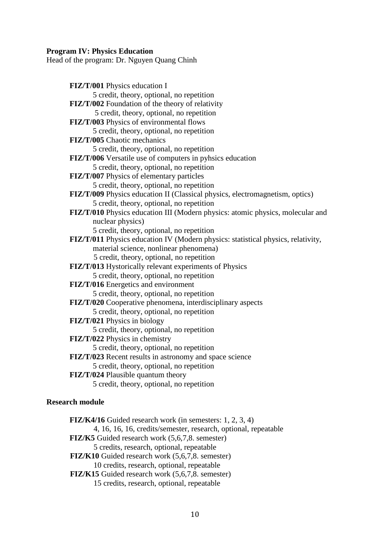#### **Program IV: Physics Education**

Head of the program: Dr. Nguyen Quang Chinh

**FIZ/T/001** Physics education I 5 credit, theory, optional, no repetition **FIZ/T/002** Foundation of the theory of relativity 5 credit, theory, optional, no repetition **FIZ/T/003** Physics of environmental flows 5 credit, theory, optional, no repetition **FIZ/T/005** Chaotic mechanics 5 credit, theory, optional, no repetition **FIZ/T/006** Versatile use of computers in pyhsics education 5 credit, theory, optional, no repetition **FIZ/T/007** Physics of elementary particles 5 credit, theory, optional, no repetition **FIZ/T/009** Physics education II (Classical physics, electromagnetism, optics) 5 credit, theory, optional, no repetition **FIZ/T/010** Physics education III (Modern physics: atomic physics, molecular and nuclear physics) 5 credit, theory, optional, no repetition **FIZ/T/011** Physics education IV (Modern physics: statistical physics, relativity, material science, nonlinear phenomena) 5 credit, theory, optional, no repetition **FIZ/T/013** Hystorically relevant experiments of Physics 5 credit, theory, optional, no repetition **FIZ/T/016** Energetics and environment 5 credit, theory, optional, no repetition **FIZ/T/020** Cooperative phenomena, interdisciplinary aspects 5 credit, theory, optional, no repetition **FIZ/T/021** Physics in biology 5 credit, theory, optional, no repetition **FIZ/T/022** Physics in chemistry 5 credit, theory, optional, no repetition **FIZ/T/023** Recent results in astronomy and space science 5 credit, theory, optional, no repetition **FIZ/T/024** Plausible quantum theory 5 credit, theory, optional, no repetition

#### **Research module**

**FIZ/K4/16** Guided research work (in semesters: 1, 2, 3, 4) 4, 16, 16, 16, credits/semester, research, optional, repeatable **FIZ/K5** Guided research work (5,6,7,8. semester) 5 credits, research, optional, repeatable **FIZ/K10** Guided research work (5,6,7,8. semester) 10 credits, research, optional, repeatable **FIZ/K15** Guided research work (5,6,7,8. semester) 15 credits, research, optional, repeatable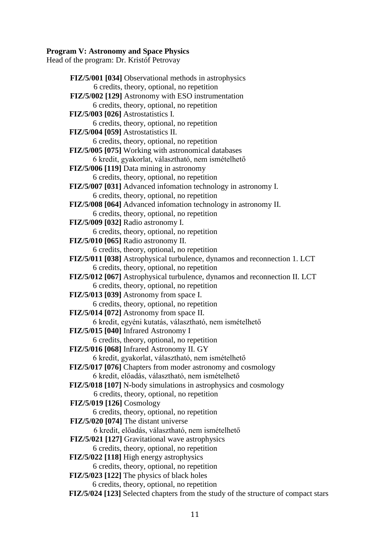#### **Program V: Astronomy and Space Physics**

Head of the program: Dr. Kristóf Petrovay

**FIZ/5/001 [034]** Observational methods in astrophysics 6 credits, theory, optional, no repetition **FIZ/5/002 [129]** Astronomy with ESO instrumentation 6 credits, theory, optional, no repetition **FIZ/5/003 [026]** Astrostatistics I. 6 credits, theory, optional, no repetition **FIZ/5/004 [059]** Astrostatistics II. 6 credits, theory, optional, no repetition **FIZ/5/005 [075]** Working with astronomical databases 6 kredit, gyakorlat, választható, nem ismételhető **FIZ/5/006 [119]** Data mining in astronomy 6 credits, theory, optional, no repetition **FIZ/5/007 [031]** Advanced infomation technology in astronomy I. 6 credits, theory, optional, no repetition **FIZ/5/008 [064]** Advanced infomation technology in astronomy II. 6 credits, theory, optional, no repetition **FIZ/5/009 [032]** Radio astronomy I. 6 credits, theory, optional, no repetition **FIZ/5/010 [065]** Radio astronomy II. 6 credits, theory, optional, no repetition **FIZ/5/011 [038]** Astrophysical turbulence, dynamos and reconnection 1. LCT 6 credits, theory, optional, no repetition **FIZ/5/012 [067]** Astrophysical turbulence, dynamos and reconnection II. LCT 6 credits, theory, optional, no repetition **FIZ/5/013 [039]** Astronomy from space I. 6 credits, theory, optional, no repetition **FIZ/5/014 [072]** Astronomy from space II. 6 kredit, egyéni kutatás, választható, nem ismételhető **FIZ/5/015 [040]** Infrared Astronomy I 6 credits, theory, optional, no repetition **FIZ/5/016 [068]** Infrared Astronomy II. GY 6 kredit, gyakorlat, választható, nem ismételhető **FIZ/5/017 [076]** Chapters from moder astronomy and cosmology 6 kredit, előadás, választható, nem ismételhető **FIZ/5/018 [107]** N-body simulations in astrophysics and cosmology 6 credits, theory, optional, no repetition **FIZ/5/019 [126]** Cosmology 6 credits, theory, optional, no repetition **FIZ/5/020 [074]** The distant universe 6 kredit, előadás, választható, nem ismételhető **FIZ/5/021 [127]** Gravitational wave astrophysics 6 credits, theory, optional, no repetition **FIZ/5/022 [118]** High energy astrophysics 6 credits, theory, optional, no repetition **FIZ/5/023 [122]** The physics of black holes 6 credits, theory, optional, no repetition **FIZ/5/024 [123]** Selected chapters from the study of the structure of compact stars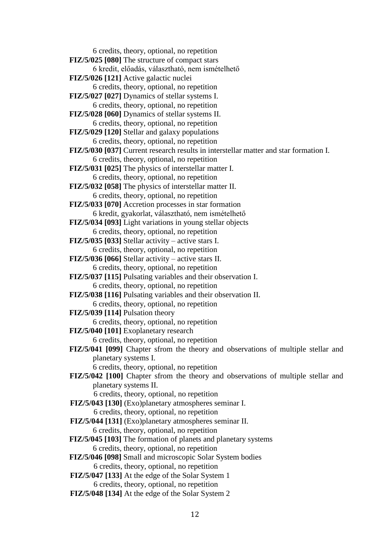6 credits, theory, optional, no repetition **FIZ/5/025 [080]** The structure of compact stars 6 kredit, előadás, választható, nem ismételhető **FIZ/5/026 [121]** Active galactic nuclei 6 credits, theory, optional, no repetition **FIZ/5/027 [027]** Dynamics of stellar systems I. 6 credits, theory, optional, no repetition **FIZ/5/028 [060]** Dynamics of stellar systems II. 6 credits, theory, optional, no repetition **FIZ/5/029 [120]** Stellar and galaxy populations 6 credits, theory, optional, no repetition **FIZ/5/030 [037]** Current research results in interstellar matter and star formation I. 6 credits, theory, optional, no repetition **FIZ/5/031 [025]** The physics of interstellar matter I. 6 credits, theory, optional, no repetition **FIZ/5/032 [058]** The physics of interstellar matter II. 6 credits, theory, optional, no repetition **FIZ/5/033 [070]** Accretion processes in star formation 6 kredit, gyakorlat, választható, nem ismételhető **FIZ/5/034 [093]** Light variations in young stellar objects 6 credits, theory, optional, no repetition **FIZ/5/035 [033]** Stellar activity – active stars I. 6 credits, theory, optional, no repetition **FIZ/5/036 [066]** Stellar activity – active stars II. 6 credits, theory, optional, no repetition **FIZ/5/037 [115]** Pulsating variables and their observation I. 6 credits, theory, optional, no repetition **FIZ/5/038 [116]** Pulsating variables and their observation II. 6 credits, theory, optional, no repetition **FIZ/5/039 [114]** Pulsation theory 6 credits, theory, optional, no repetition **FIZ/5/040 [101]** Exoplanetary research 6 credits, theory, optional, no repetition **FIZ/5/041 [099]** Chapter sfrom the theory and observations of multiple stellar and planetary systems I. 6 credits, theory, optional, no repetition **FIZ/5/042 [100]** Chapter sfrom the theory and observations of multiple stellar and planetary systems II. 6 credits, theory, optional, no repetition **FIZ/5/043 [130]** (Exo)planetary atmospheres seminar I. 6 credits, theory, optional, no repetition **FIZ/5/044 [131]** (Exo)planetary atmospheres seminar II. 6 credits, theory, optional, no repetition **FIZ/5/045 [103]** The formation of planets and planetary systems 6 credits, theory, optional, no repetition **FIZ/5/046 [098]** Small and microscopic Solar System bodies 6 credits, theory, optional, no repetition

- **FIZ/5/047 [133]** At the edge of the Solar System 1 6 credits, theory, optional, no repetition
- **FIZ/5/048 [134]** At the edge of the Solar System 2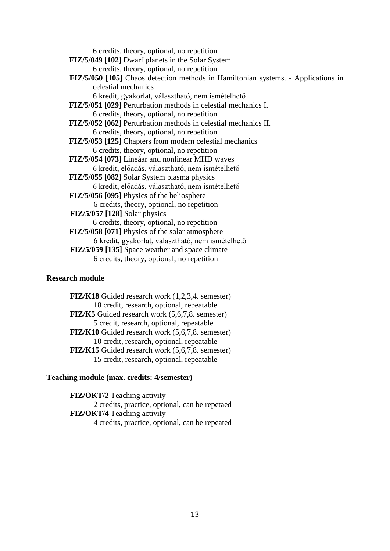6 credits, theory, optional, no repetition

**FIZ/5/049 [102]** Dwarf planets in the Solar System

6 credits, theory, optional, no repetition

**FIZ/5/050 [105]** Chaos detection methods in Hamiltonian systems. - Applications in celestial mechanics

6 kredit, gyakorlat, választható, nem ismételhető

**FIZ/5/051 [029]** Perturbation methods in celestial mechanics I. 6 credits, theory, optional, no repetition

**FIZ/5/052 [062]** Perturbation methods in celestial mechanics II. 6 credits, theory, optional, no repetition

**FIZ/5/053 [125]** Chapters from modern celestial mechanics 6 credits, theory, optional, no repetition

**FIZ/5/054 [073]** Lineáar and nonlinear MHD waves 6 kredit, előadás, választható, nem ismételhető

**FIZ/5/055 [082]** Solar System plasma physics

6 kredit, előadás, választható, nem ismételhető

**FIZ/5/056 [095]** Physics of the heliosphere

6 credits, theory, optional, no repetition

**FIZ/5/057 [128]** Solar physics

6 credits, theory, optional, no repetition

**FIZ/5/058 [071]** Physics of the solar atmosphere

6 kredit, gyakorlat, választható, nem ismételhető

**FIZ/5/059 [135]** Space weather and space climate

6 credits, theory, optional, no repetition

# **Research module**

**FIZ/K18** Guided research work (1,2,3,4. semester) 18 credit, research, optional, repeatable **FIZ/K5** Guided research work (5,6,7,8. semester) 5 credit, research, optional, repeatable **FIZ/K10** Guided research work (5,6,7,8. semester) 10 credit, research, optional, repeatable **FIZ/K15** Guided research work (5,6,7,8. semester) 15 credit, research, optional, repeatable

# **Teaching module (max. credits: 4/semester)**

**FIZ/OKT/2** Teaching activity 2 credits, practice, optional, can be repetaed **FIZ/OKT/4** Teaching activity 4 credits, practice, optional, can be repeated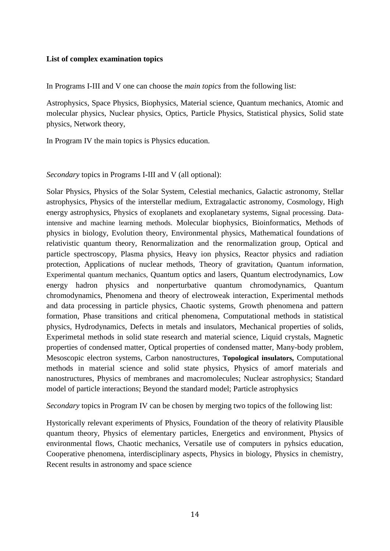## **List of complex examination topics**

In Programs I-III and V one can choose the *main topics* from the following list:

Astrophysics, Space Physics, Biophysics, Material science, Quantum mechanics, Atomic and molecular physics, Nuclear physics, Optics, Particle Physics, Statistical physics, Solid state physics, Network theory,

In Program IV the main topics is Physics education.

*Secondary* topics in Programs I-III and V (all optional):

Solar Physics, Physics of the Solar System, Celestial mechanics, Galactic astronomy, Stellar astrophysics, Physics of the interstellar medium, Extragalactic astronomy, Cosmology, High energy astrophysics, Physics of exoplanets and exoplanetary systems, Signal processing. Dataintensive and machine learning methods. Molecular biophysics, Bioinformatics, Methods of physics in biology, Evolution theory, Environmental physics, Mathematical foundations of relativistic quantum theory, Renormalization and the renormalization group, Optical and particle spectroscopy, Plasma physics, Heavy ion physics, Reactor physics and radiation protection, Applications of nuclear methods, Theory of gravitation, Quantum information, Experimental quantum mechanics, Quantum optics and lasers, Quantum electrodynamics, Low energy hadron physics and nonperturbative quantum chromodynamics, Quantum chromodynamics, Phenomena and theory of electroweak interaction, Experimental methods and data processing in particle physics, Chaotic systems, Growth phenomena and pattern formation, Phase transitions and critical phenomena, Computational methods in statistical physics, Hydrodynamics, Defects in metals and insulators, Mechanical properties of solids, Experimetal methods in solid state research and material science, Liquid crystals, Magnetic properties of condensed matter, Optical properties of condensed matter, Many-body problem, Mesoscopic electron systems, Carbon nanostructures, **Topological insulators,** Computational methods in material science and solid state physics, Physics of amorf materials and nanostructures, Physics of membranes and macromolecules; Nuclear astrophysics; Standard model of particle interactions; Beyond the standard model; Particle astrophysics

*Secondary* topics in Program IV can be chosen by merging two topics of the following list:

Hystorically relevant experiments of Physics, Foundation of the theory of relativity Plausible quantum theory, Physics of elementary particles, Energetics and environment, Physics of environmental flows, Chaotic mechanics, Versatile use of computers in pyhsics education, Cooperative phenomena, interdisciplinary aspects, Physics in biology, Physics in chemistry, Recent results in astronomy and space science